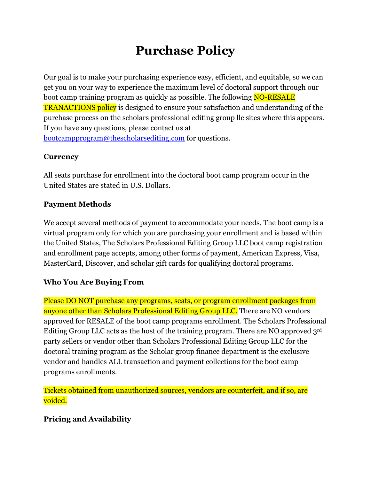# **Purchase Policy**

Our goal is to make your purchasing experience easy, efficient, and equitable, so we can get you on your way to experience the maximum level of doctoral support through our boot camp training program as quickly as possible. The following **NO-RESALE** TRANACTIONS policy is designed to ensure your satisfaction and understanding of the purchase process on the scholars professional editing group llc sites where this appears. If you have any questions, please contact us at [bootcampprogram@thescholarsediting.com](mailto:bootcampprogram@thescholarsediting.com) for questions.

## **Currency**

All seats purchase for enrollment into the doctoral boot camp program occur in the United States are stated in U.S. Dollars.

## **Payment Methods**

We accept several methods of payment to accommodate your needs. The boot camp is a virtual program only for which you are purchasing your enrollment and is based within the United States, The Scholars Professional Editing Group LLC boot camp registration and enrollment page accepts, among other forms of payment, American Express, Visa, MasterCard, Discover, and scholar gift cards for qualifying doctoral programs.

## **Who You Are Buying From**

Please DO NOT purchase any programs, seats, or program enrollment packages from anyone other than Scholars Professional Editing Group LLC. There are NO vendors approved for RESALE of the boot camp programs enrollment. The Scholars Professional Editing Group LLC acts as the host of the training program. There are NO approved 3rd party sellers or vendor other than Scholars Professional Editing Group LLC for the doctoral training program as the Scholar group finance department is the exclusive vendor and handles ALL transaction and payment collections for the boot camp programs enrollments.

Tickets obtained from unauthorized sources, vendors are counterfeit, and if so, are voided.

## **Pricing and Availability**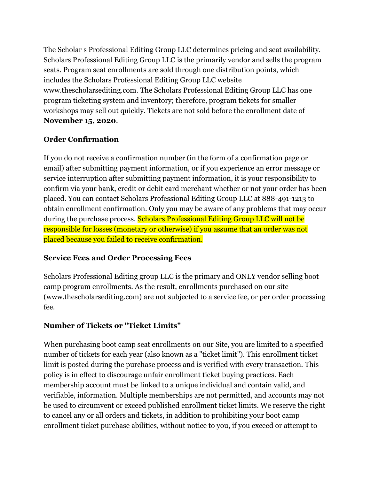The Scholar s Professional Editing Group LLC determines pricing and seat availability. Scholars Professional Editing Group LLC is the primarily vendor and sells the program seats. Program seat enrollments are sold through one distribution points, which includes the Scholars Professional Editing Group LLC website www.thescholarsediting.com. The Scholars Professional Editing Group LLC has one program ticketing system and inventory; therefore, program tickets for smaller workshops may sell out quickly. Tickets are not sold before the enrollment date of **November 15, 2020**.

## **Order Confirmation**

If you do not receive a confirmation number (in the form of a confirmation page or email) after submitting payment information, or if you experience an error message or service interruption after submitting payment information, it is your responsibility to confirm via your bank, credit or debit card merchant whether or not your order has been placed. You can contact Scholars Professional Editing Group LLC at 888-491-1213 to obtain enrollment confirmation. Only you may be aware of any problems that may occur during the purchase process. Scholars Professional Editing Group LLC will not be responsible for losses (monetary or otherwise) if you assume that an order was not placed because you failed to receive confirmation.

#### **Service Fees and Order Processing Fees**

Scholars Professional Editing group LLC is the primary and ONLY vendor selling boot camp program enrollments. As the result, enrollments purchased on our site (www.thescholarsediting.com) are not subjected to a service fee, or per order processing fee.

## **Number of Tickets or "Ticket Limits"**

When purchasing boot camp seat enrollments on our Site, you are limited to a specified number of tickets for each year (also known as a "ticket limit"). This enrollment ticket limit is posted during the purchase process and is verified with every transaction. This policy is in effect to discourage unfair enrollment ticket buying practices. Each membership account must be linked to a unique individual and contain valid, and verifiable, information. Multiple memberships are not permitted, and accounts may not be used to circumvent or exceed published enrollment ticket limits. We reserve the right to cancel any or all orders and tickets, in addition to prohibiting your boot camp enrollment ticket purchase abilities, without notice to you, if you exceed or attempt to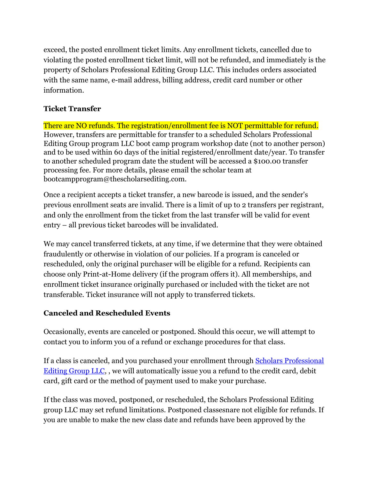exceed, the posted enrollment ticket limits. Any enrollment tickets, cancelled due to violating the posted enrollment ticket limit, will not be refunded, and immediately is the property of Scholars Professional Editing Group LLC. This includes orders associated with the same name, e-mail address, billing address, credit card number or other information.

## **Ticket Transfer**

There are NO refunds. The registration/enrollment fee is NOT permittable for refund. However, transfers are permittable for transfer to a scheduled Scholars Professional Editing Group program LLC boot camp program workshop date (not to another person) and to be used within 60 days of the initial registered/enrollment date/year. To transfer to another scheduled program date the student will be accessed a \$100.00 transfer processing fee. For more details, please email the scholar team at bootcampprogram@thescholarsediting.com.

Once a recipient accepts a ticket transfer, a new barcode is issued, and the sender's previous enrollment seats are invalid. There is a limit of up to 2 transfers per registrant, and only the enrollment from the ticket from the last transfer will be valid for event entry – all previous ticket barcodes will be invalidated.

We may cancel transferred tickets, at any time, if we determine that they were obtained fraudulently or otherwise in violation of our policies. If a program is canceled or rescheduled, only the original purchaser will be eligible for a refund. Recipients can choose only Print-at-Home delivery (if the program offers it). All memberships, and enrollment ticket insurance originally purchased or included with the ticket are not transferable. Ticket insurance will not apply to transferred tickets.

#### **Canceled and Rescheduled Events**

Occasionally, events are canceled or postponed. Should this occur, we will attempt to contact you to inform you of a refund or exchange procedures for that class.

If a class is canceled, and you purchased your enrollment through **[Scholars](https://www.ticketmaster.com/) Professional** Editing Group LLC, , we will automatically issue you a refund to the credit card, debit card, gift card or the method of payment used to make your purchase.

If the class was moved, postponed, or rescheduled, the Scholars Professional Editing group LLC may set refund limitations. Postponed classesnare not eligible for refunds. If you are unable to make the new class date and refunds have been approved by the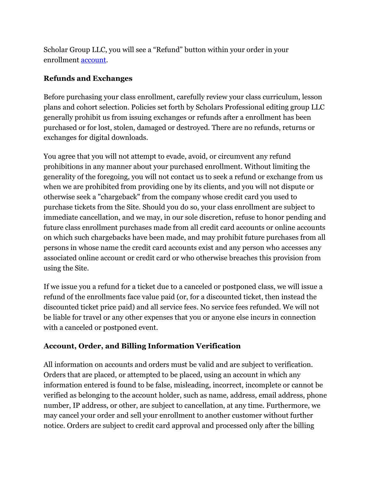Scholar Group LLC, you will see a "Refund" button within your order in your enrollment [account.](https://my.ticketmaster.com/account/login?redirect=https://my.ticketmaster.com/account)

#### **Refunds and Exchanges**

Before purchasing your class enrollment, carefully review your class curriculum, lesson plans and cohort selection. Policies set forth by Scholars Professional editing group LLC generally prohibit us from issuing exchanges or refunds after a enrollment has been purchased or for lost, stolen, damaged or destroyed. There are no refunds, returns or exchanges for digital downloads.

You agree that you will not attempt to evade, avoid, or circumvent any refund prohibitions in any manner about your purchased enrollment. Without limiting the generality of the foregoing, you will not contact us to seek a refund or exchange from us when we are prohibited from providing one by its clients, and you will not dispute or otherwise seek a "chargeback" from the company whose credit card you used to purchase tickets from the Site. Should you do so, your class enrollment are subject to immediate cancellation, and we may, in our sole discretion, refuse to honor pending and future class enrollment purchases made from all credit card accounts or online accounts on which such chargebacks have been made, and may prohibit future purchases from all persons in whose name the credit card accounts exist and any person who accesses any associated online account or credit card or who otherwise breaches this provision from using the Site.

If we issue you a refund for a ticket due to a canceled or postponed class, we will issue a refund of the enrollments face value paid (or, for a discounted ticket, then instead the discounted ticket price paid) and all service fees. No service fees refunded. We will not be liable for travel or any other expenses that you or anyone else incurs in connection with a canceled or postponed event.

#### **Account, Order, and Billing Information Verification**

All information on accounts and orders must be valid and are subject to verification. Orders that are placed, or attempted to be placed, using an account in which any information entered is found to be false, misleading, incorrect, incomplete or cannot be verified as belonging to the account holder, such as name, address, email address, phone number, IP address, or other, are subject to cancellation, at any time. Furthermore, we may cancel your order and sell your enrollment to another customer without further notice. Orders are subject to credit card approval and processed only after the billing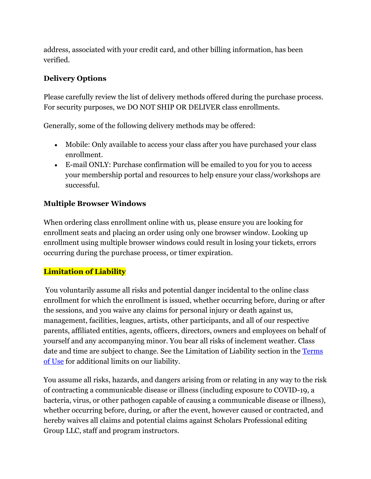address, associated with your credit card, and other billing information, has been verified.

#### **Delivery Options**

Please carefully review the list of delivery methods offered during the purchase process. For security purposes, we DO NOT SHIP OR DELIVER class enrollments.

Generally, some of the following delivery methods may be offered:

- Mobile: Only available to access your class after you have purchased your class enrollment.
- E-mail ONLY: Purchase confirmation will be emailed to you for you to access your membership portal and resources to help ensure your class/workshops are successful.

## **Multiple Browser Windows**

When ordering class enrollment online with us, please ensure you are looking for enrollment seats and placing an order using only one browser window. Looking up enrollment using multiple browser windows could result in losing your tickets, errors occurring during the purchase process, or timer expiration.

## **Limitation of Liability**

You voluntarily assume all risks and potential danger incidental to the online class enrollment for which the enrollment is issued, whether occurring before, during or after the sessions, and you waive any claims for personal injury or death against us, management, facilities, leagues, artists, other participants, and all of our respective parents, affiliated entities, agents, officers, directors, owners and employees on behalf of yourself and any accompanying minor. You bear all risks of inclement weather. Class date and time are subject to change. See the Limitation of Liability section in the [Terms](https://help.ticketmaster.com/s/article/Terms-of-Use?language=en_US)  [of Use](https://help.ticketmaster.com/s/article/Terms-of-Use?language=en_US) for additional limits on our liability.

You assume all risks, hazards, and dangers arising from or relating in any way to the risk of contracting a communicable disease or illness (including exposure to COVID-19, a bacteria, virus, or other pathogen capable of causing a communicable disease or illness), whether occurring before, during, or after the event, however caused or contracted, and hereby waives all claims and potential claims against Scholars Professional editing Group LLC, staff and program instructors.